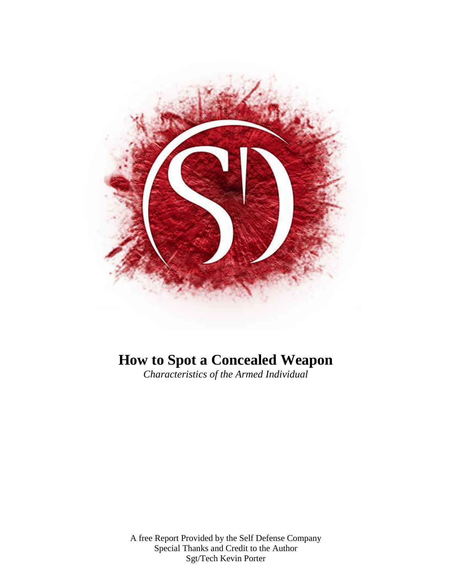

# **How to Spot a Concealed Weapon**

*Characteristics of the Armed Individual* 

A free Report Provided by the Self Defense Company Special Thanks and Credit to the Author Sgt/Tech Kevin Porter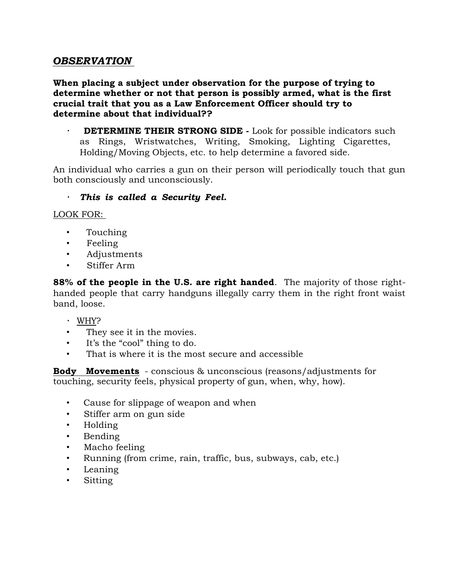# *OBSERVATION*

**When placing a subject under observation for the purpose of trying to determine whether or not that person is possibly armed, what is the first crucial trait that you as a Law Enforcement Officer should try to determine about that individual??** 

 $\bullet$  .  **DETERMINE THEIR STRONG SIDE -** Look for possible indicators such as Rings, Wristwatches, Writing, Smoking, Lighting Cigarettes, Holding/Moving Objects, etc. to help determine a favored side.

An individual who carries a gun on their person will periodically touch that gun both consciously and unconsciously.

# *This is called a Security Feel.*

LOOK FOR:

- Touching
- Feeling
- Adjustments
- Stiffer Arm

**88% of the people in the U.S. are right handed**. The majority of those righthanded people that carry handguns illegally carry them in the right front waist band, loose.

- WHY?
- They see it in the movies.
- It's the "cool" thing to do.
- That is where it is the most secure and accessible

**Body Movements** - conscious & unconscious (reasons/adjustments for touching, security feels, physical property of gun, when, why, how).

- Cause for slippage of weapon and when
- Stiffer arm on gun side
- Holding
- Bending
- Macho feeling
- Running (from crime, rain, traffic, bus, subways, cab, etc.)
- Leaning
- Sitting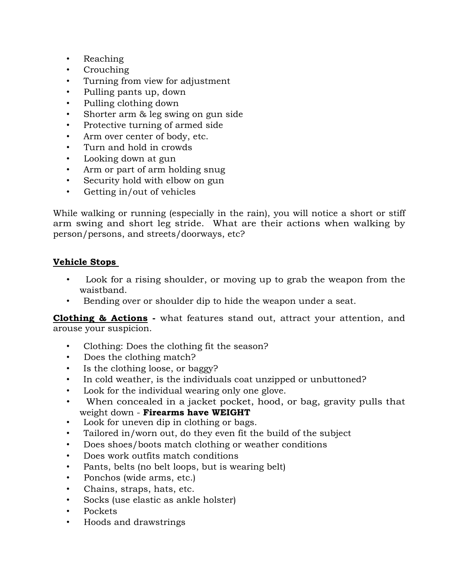- Reaching
- Crouching
- Turning from view for adjustment
- Pulling pants up, down
- Pulling clothing down
- Shorter arm & leg swing on gun side
- Protective turning of armed side
- Arm over center of body, etc.
- Turn and hold in crowds
- Looking down at gun
- Arm or part of arm holding snug
- Security hold with elbow on gun
- Getting in/out of vehicles

While walking or running (especially in the rain), you will notice a short or stiff arm swing and short leg stride. What are their actions when walking by person/persons, and streets/doorways, etc?

# **Vehicle Stops**

- Look for a rising shoulder, or moving up to grab the weapon from the waistband.
- Bending over or shoulder dip to hide the weapon under a seat.

**Clothing & Actions -** what features stand out, attract your attention, and arouse your suspicion.

- Clothing: Does the clothing fit the season?
- Does the clothing match?
- Is the clothing loose, or baggy?
- In cold weather, is the individuals coat unzipped or unbuttoned?
- Look for the individual wearing only one glove.
- When concealed in a jacket pocket, hood, or bag, gravity pulls that weight down - **Firearms have WEIGHT**
- Look for uneven dip in clothing or bags.
- Tailored in/worn out, do they even fit the build of the subject
- Does shoes/boots match clothing or weather conditions
- Does work outfits match conditions
- Pants, belts (no belt loops, but is wearing belt)
- Ponchos (wide arms, etc.)
- Chains, straps, hats, etc.
- Socks (use elastic as ankle holster)
- Pockets
- Hoods and drawstrings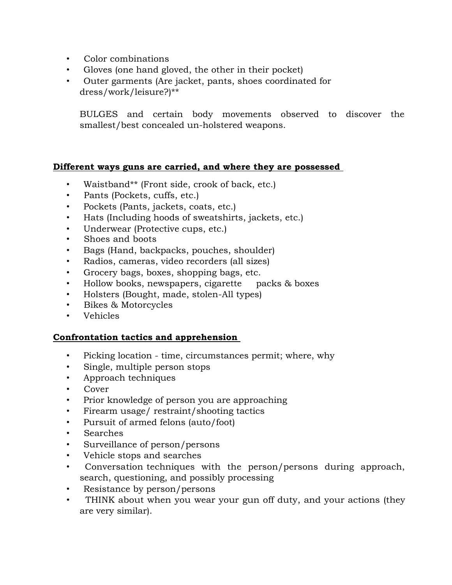- Color combinations
- Gloves (one hand gloved, the other in their pocket)
- Outer garments (Are jacket, pants, shoes coordinated for dress/work/leisure?)\*\*

BULGES and certain body movements observed to discover the smallest/best concealed un-holstered weapons.

#### **Different ways guns are carried, and where they are possessed**

- Waistband\*\* (Front side, crook of back, etc.)
- Pants (Pockets, cuffs, etc.)
- Pockets (Pants, jackets, coats, etc.)
- Hats (Including hoods of sweatshirts, jackets, etc.)
- Underwear (Protective cups, etc.)
- Shoes and boots
- Bags (Hand, backpacks, pouches, shoulder)
- Radios, cameras, video recorders (all sizes)
- Grocery bags, boxes, shopping bags, etc.
- Hollow books, newspapers, cigarette packs & boxes
- Holsters (Bought, made, stolen-All types)
- Bikes & Motorcycles
- Vehicles

#### **Confrontation tactics and apprehension**

- Picking location time, circumstances permit; where, why
- Single, multiple person stops
- Approach techniques
- Cover
- Prior knowledge of person you are approaching
- Firearm usage/ restraint/shooting tactics
- Pursuit of armed felons (auto/foot)
- Searches
- Surveillance of person/persons
- Vehicle stops and searches
- Conversation techniques with the person/persons during approach, search, questioning, and possibly processing
- Resistance by person/persons
- THINK about when you wear your gun off duty, and your actions (they are very similar).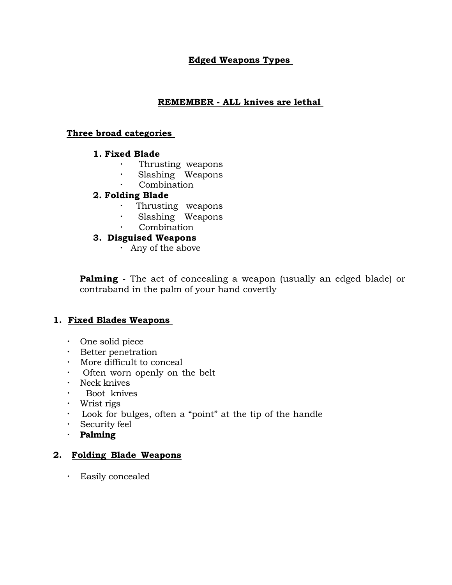# **Edged Weapons Types**

## **REMEMBER - ALL knives are lethal**

#### **Three broad categories**

#### **1. Fixed Blade**

- Thrusting weapons
- $\bullet$  . Slashing Weapons
	- Combination

# **2. Folding Blade**

- Thrusting weapons
- Slashing Weapons  $\mathcal{L}^{\pm}$ 
	- Combination

# **3. Disguised Weapons**

Any of the above

**Palming -** The act of concealing a weapon (usually an edged blade) or contraband in the palm of your hand covertly

# **1. Fixed Blades Weapons**

- One solid piece
- Better penetration
- More difficult to conceal
- Often worn openly on the belt
- · Neck knives
- Boot knives
- Wrist rigs
- Look for bulges, often a "point" at the tip of the handle
- Security feel
- **Palming**

#### **2. Folding Blade Weapons**

Easily concealed